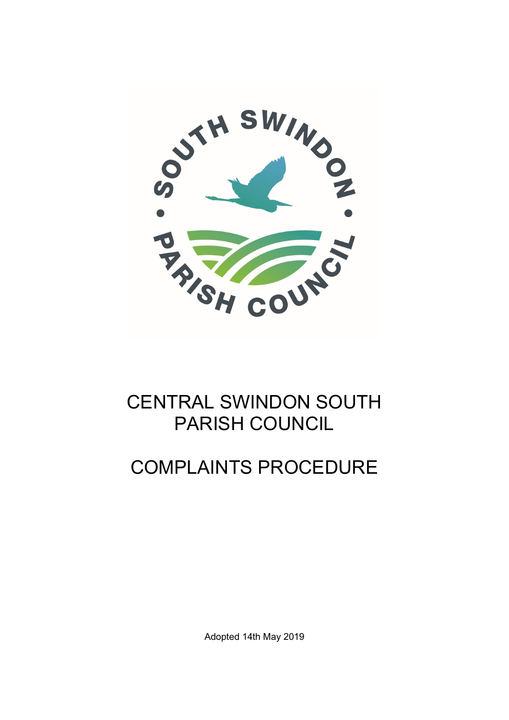

## CENTRAL SWINDON SOUTH PARISH COUNCIL

## COMPLAINTS PROCEDURE

Adopted 14th May 2019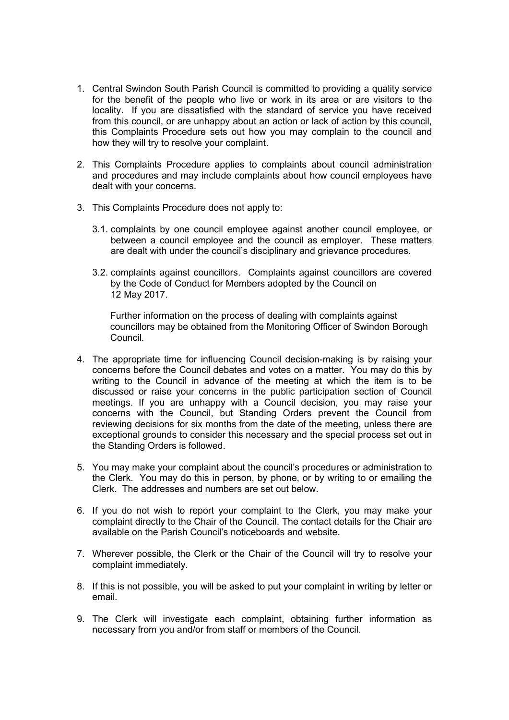- 1. Central Swindon South Parish Council is committed to providing a quality service for the benefit of the people who live or work in its area or are visitors to the locality. If you are dissatisfied with the standard of service you have received from this council, or are unhappy about an action or lack of action by this council, this Complaints Procedure sets out how you may complain to the council and how they will try to resolve your complaint.
- 2. This Complaints Procedure applies to complaints about council administration and procedures and may include complaints about how council employees have dealt with your concerns.
- 3. This Complaints Procedure does not apply to:
	- 3.1. complaints by one council employee against another council employee, or between a council employee and the council as employer. These matters are dealt with under the council's disciplinary and grievance procedures.
	- 3.2. complaints against councillors. Complaints against councillors are covered by the Code of Conduct for Members adopted by the Council on 12 May 2017.

Further information on the process of dealing with complaints against councillors may be obtained from the Monitoring Officer of Swindon Borough Council.

- 4. The appropriate time for influencing Council decision-making is by raising your concerns before the Council debates and votes on a matter. You may do this by writing to the Council in advance of the meeting at which the item is to be discussed or raise your concerns in the public participation section of Council meetings. If you are unhappy with a Council decision, you may raise your concerns with the Council, but Standing Orders prevent the Council from reviewing decisions for six months from the date of the meeting, unless there are exceptional grounds to consider this necessary and the special process set out in the Standing Orders is followed.
- 5. You may make your complaint about the council's procedures or administration to the Clerk. You may do this in person, by phone, or by writing to or emailing the Clerk. The addresses and numbers are set out below.
- 6. If you do not wish to report your complaint to the Clerk, you may make your complaint directly to the Chair of the Council. The contact details for the Chair are available on the Parish Council's noticeboards and website.
- 7. Wherever possible, the Clerk or the Chair of the Council will try to resolve your complaint immediately.
- 8. If this is not possible, you will be asked to put your complaint in writing by letter or email.
- 9. The Clerk will investigate each complaint, obtaining further information as necessary from you and/or from staff or members of the Council.